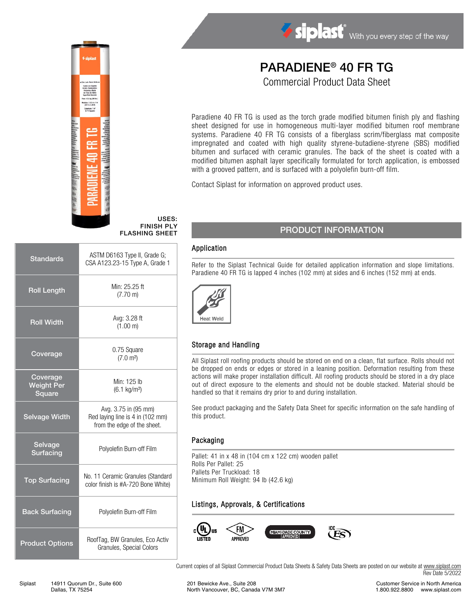

#### USES: FINISH PLY FLASHING SHEET

| <b>Standards</b>                        | ASTM D6163 Type II, Grade G;<br>CSA A123.23-15 Type A, Grade 1                          |  |  |
|-----------------------------------------|-----------------------------------------------------------------------------------------|--|--|
| <b>Roll Length</b>                      | Min: 25.25 ft<br>$(7.70 \text{ m})$                                                     |  |  |
| <b>Roll Width</b>                       | Avg: 3.28 ft<br>(1.00 m)                                                                |  |  |
| Coverage                                | 0.75 Square<br>(7.0 m <sup>2</sup> )                                                    |  |  |
| Coverage<br><b>Weight Per</b><br>Square | Min: 125 lb<br>$(6.1 \text{ kg/m}^2)$                                                   |  |  |
| <b>Selvage Width</b>                    | Avg. 3.75 in (95 mm)<br>Red laying line is 4 in (102 mm)<br>from the edge of the sheet. |  |  |
| Selvage<br>Surfacing                    | Polyolefin Burn-off Film                                                                |  |  |
| <b>Top Surfacing</b>                    | No. 11 Ceramic Granules (Standard<br>color finish is #A-720 Bone White)                 |  |  |
| <b>Back Surfacing</b>                   | Polyolefin Burn-off Film                                                                |  |  |
| <b>Product Options</b>                  | RoofTag, BW Granules, Eco Activ<br>Granules, Special Colors                             |  |  |

# PARADIENE® 40 FR TG Commercial Product Data Sheet

Siplast With you every step of the way

Paradiene 40 FR TG is used as the torch grade modified bitumen finish ply and flashing sheet designed for use in homogeneous multi-layer modified bitumen roof membrane systems. Paradiene 40 FR TG consists of a fiberglass scrim/fiberglass mat composite impregnated and coated with high quality styrene-butadiene-styrene (SBS) modified bitumen and surfaced with ceramic granules. The back of the sheet is coated with a modified bitumen asphalt layer specifically formulated for torch application, is embossed with a grooved pattern, and is surfaced with a polyolefin burn-off film.

Contact Siplast for information on approved product uses.

# PRODUCT INFORMATION

#### Application

Refer to the Siplast Technical Guide for detailed application information and slope limitations. Paradiene 40 FR TG is lapped 4 inches (102 mm) at sides and 6 inches (152 mm) at ends.



### Storage and Handling

All Siplast roll roofing products should be stored on end on a clean, flat surface. Rolls should not be dropped on ends or edges or stored in a leaning position. Deformation resulting from these actions will make proper installation difficult. All roofing products should be stored in a dry place out of direct exposure to the elements and should not be double stacked. Material should be handled so that it remains dry prior to and during installation.

See product packaging and the Safety Data Sheet for specific information on the safe handling of this product.

#### **Packaging**

Pallet: 41 in x 48 in (104 cm x 122 cm) wooden pallet Rolls Per Pallet: 25 Pallets Per Truckload: 18 Minimum Roll Weight: 94 lb (42.6 kg)

### Listings, Approvals, & Certifications



Current copies of all Siplast Commercial Product Data Sheets & Safety Data Sheets are posted on our website a[t www.siplast.com](http://www.siplast.com/) Rev Date 5/2022